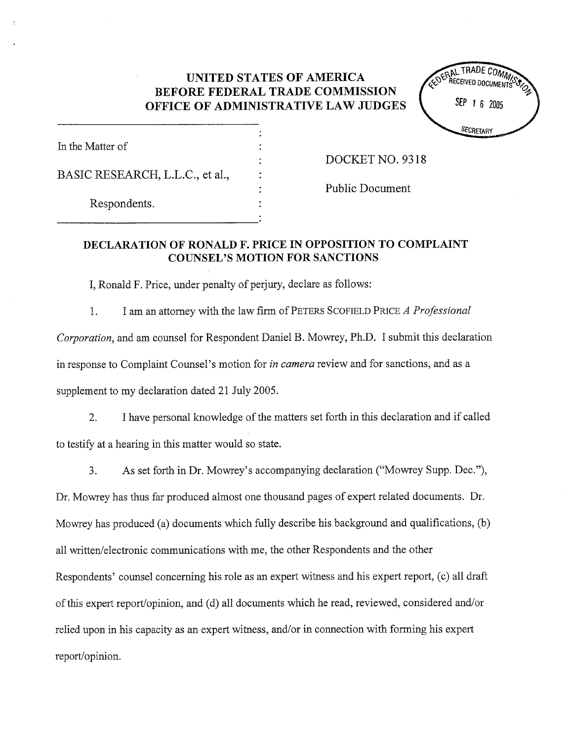## UNITED STATES OF AMERICA BEFORE FEDERAL TRADE COMMISSION OFFICE OF ADMINISTRATIVE LAW JUDGES



| In the Matter of                |  |
|---------------------------------|--|
| BASIC RESEARCH, L.L.C., et al., |  |
| Respondents.                    |  |

DOCKET NO. 9318

Public Document

## DECLARATION OF RONALD F. PRICE IN OPPOSITION TO COMPLAINT COUNSEL'S MOTION FOR SANCTIONS

I, Ronald F. Price, under penalty of perjury, declare as follows:

I am an attorney with the law firm of PETERS SCOFIELD PRICE A Professional 1. Corporation, and am counsel for Respondent Daniel B. Mowrey, Ph.D. I submit this declaration in response to Complaint Counsel's motion for *in camera* review and for sanctions, and as a supplement to my declaration dated 21 July 2005.

 $2.$ I have personal knowledge of the matters set forth in this declaration and if called to testify at a hearing in this matter would so state.

 $3<sub>1</sub>$ As set forth in Dr. Mowrey's accompanying declaration ("Mowrey Supp. Dec."),

Dr. Mowrey has thus far produced almost one thousand pages of expert related documents. Dr. Mowrey has produced (a) documents which fully describe his background and qualifications, (b) all written/electronic communications with me, the other Respondents and the other Respondents' counsel concerning his role as an expert witness and his expert report, (c) all draft of this expert report/opinion, and (d) all documents which he read, reviewed, considered and/or relied upon in his capacity as an expert witness, and/or in connection with forming his expert report/opinion.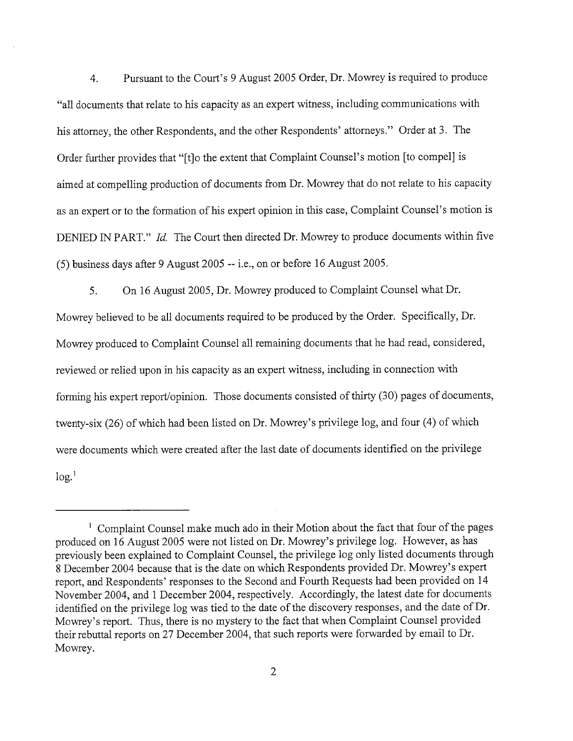Pursuant to the Court's 9 August 2005 Order, Dr. Mowrey is required to produce 4. all documents that relate to his capacity as an expert witness, including communications with his attorney, the other Respondents, and the other Respondents' attorneys." Order at 3. The Order further provides that "(t)o the extent that Complaint Counsel's motion (to compel) is aimed at compelling production of documents from Dr. Mowrey that do not relate to his capacity as an expert or to the formation of his expert opinion in this case, Complaint Counsel's motion is DENIED IN PART." Id. The Court then directed Dr. Mowrey to produce documents within five (5) business days after 9 August 2005 -- i.e., on or before 16 August 2005.

5. On 16 August 2005, Dr. Mowrey produced to Complaint Counsel what Dr. Mowrey believed to be all documents required to be produced by the Order. Specifically, Dr. Mowrey produced to Complaint Counsel all remaining documents that he had read, considered reviewed or relied upon in his capacity as an expert witness, including in connection with forming his expert report/opinion. Those documents consisted of thirty (30) pages of documents, twenty-six (26) of which had been listed on Dr. Mowrey's privilege log, and four (4) of which were documents which were created after the last date of documents identified on the privilege  $log<sup>1</sup>$ 

 $<sup>1</sup>$  Complaint Counsel make much ado in their Motion about the fact that four of the pages</sup> produced on 16 August 2005 were not listed on Dr. Mowrey's privilege log. However, as has previously been explained to Complaint Counsel, the privilege log only listed documents through 8 December 2004 because that is the date on which Respondents provided Dr. Mowrey's expert report, and Respondents' responses to the Second and Fourth Requests had been provided on 14 November 2004, and 1 December 2004, respectively. Accordingly, the latest date for documents identified on the privilege log was tied to the date of the discovery responses, and the date of Dr. Mowrey's report. Thus, there is no mystery to the fact that when Complaint Counsel provided their rebuttal reports on 27 December 2004, that such reports were forwarded by email to Dr. Mowrey.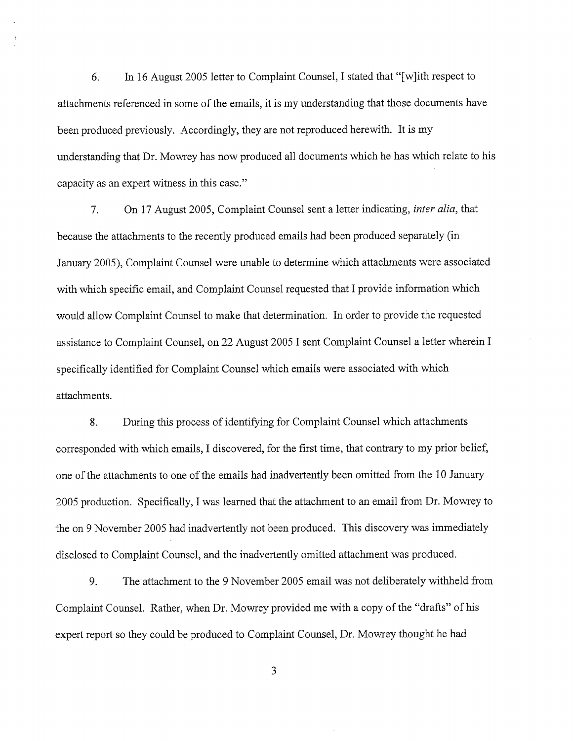In 16 August 2005 letter to Complaint Counsel, I stated that "[w]ith respect to 6. attachments referenced in some of the emails, it is my understanding that those documents have been produced previously. Accordingly, they are not reproduced herewith. It is my understanding that Dr. Mowrey has now produced all documents which he has which relate to his capacity as an expert witness in this case.

7. On 17 August 2005, Complaint Counsel sent a letter indicating, *inter alia*, that because the attachments to the recently produced emails had been produced separately (in January 2005), Complaint Counsel were unable to determine which attachments were associated with which specific email, and Complaint Counsel requested that I provide information which would allow Complaint Counsel to make that determination. In order to provide the requested assistance to Complaint Counsel, on 22 August 2005 I sent Complaint Counsel a letter wherein I specifically identified for Complaint Counsel which emails were associated with which attachments.

During this process of identifying for Complaint Counsel which attachments 8. corresponded with which emails, I discovered, for the first time, that contrary to my prior belief, one of the attachments to one of the emails had inadvertently been omitted from the 10 January 2005 production. Specifically, I was learned that the attachment to an email from Dr. Mowrey to the on 9 November 2005 had inadvertently not been produced. This discovery was immediately disclosed to Complaint Counsel, and the inadvertently omitted attachment was produced.

9. The attachment to the 9 November 2005 email was not deliberately withheld from Complaint Counsel. Rather, when Dr. Mowrey provided me with a copy of the "drafts" of his expert report so they could be produced to Complaint Counsel, Dr. Mowrey thought he had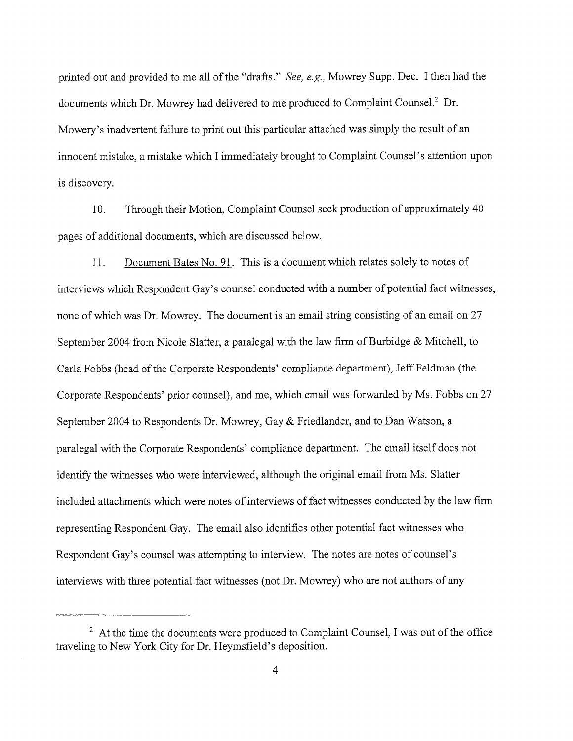printed out and provided to me all of the "drafts." See, e.g., Mowrey Supp. Dec. I then had the documents which Dr. Mowrey had delivered to me produced to Complaint Counsel.<sup>2</sup> Dr. Mowery's inadvertent failure to print out this particular attached was simply the result of an innocent mistake, a mistake which I immediately brought to Complaint Counsel's attention upon is discovery.

10. Through their Motion, Complaint Counsel seek production of approximately 40 pages of additional documents, which are discussed below.

11. Document Bates No. 91. This is a document which relates solely to notes of interviews which Respondent Gay's counsel conducted with a number of potential fact witnesses, none of which was Dr. Mowrey. The document is an email string consisting of an email on 27 September 2004 from Nicole Slatter, a paralegal with the law firm of Burbidge  $\&$  Mitchell, to Carla Fobbs (head of the Corporate Respondents ' compliance department), Jeff Feldman (the Corporate Respondents' prior counsel), and me, which email was forwarded by Ms. Fobbs on 27 September 2004 to Respondents Dr. Mowrey, Gay & Friedlander, and to Dan Watson, a paralegal with the Corporate Respondents' compliance department. The email itself does not identify the witnesses who were interviewed, although the original email from Ms. Slatter included attachments which were notes of interviews of fact witnesses conducted by the law firm representing Respondent Gay. The email also identifies other potential fact witnesses who Respondent Gay's counsel was attempting to interview. The notes are notes of counsel's interviews with three potential fact witnesses (not Dr. Mowrey) who are not authors of any

 $2<sup>2</sup>$  At the time the documents were produced to Complaint Counsel, I was out of the office traveling to New York City for Dr. Heymsfield's deposition.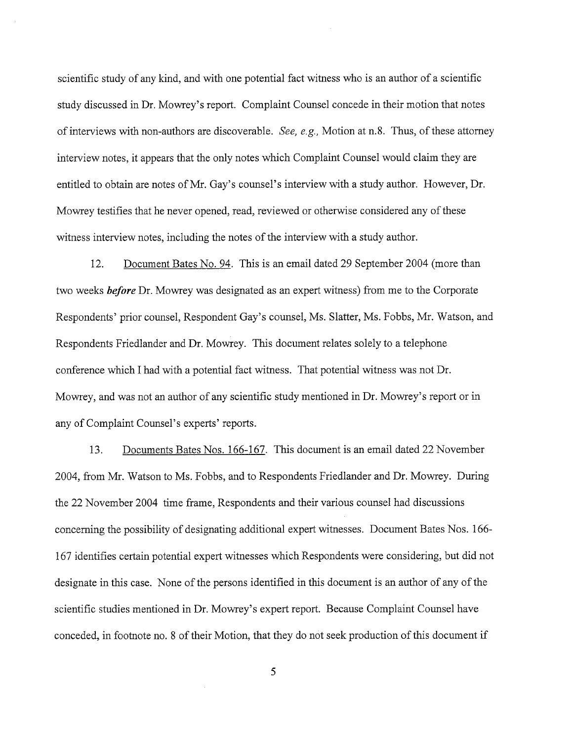scientific study of any kind, and with one potential fact witness who is an author of a scientific study discussed in Dr. Mowrey s report. Complaint Counsel concede in their motion that notes of interviews with non-authors are discoverable. See, e.g., Motion at n.8. Thus, of these attorney interview notes, it appears that the only notes which Complaint Counsel would claim they are entitled to obtain are notes of Mr. Gay's counsel's interview with a study author. However, Dr. Mowrey testifies that he never opened, read, reviewed or otherwise considered any of these witness interview notes, including the notes of the interview with a study author.

12. Document Bates No. 94. This is an email dated 29 September 2004 (more than two weeks **before** Dr. Mowrey was designated as an expert witness) from me to the Corporate Respondents' prior counsel, Respondent Gay's counsel, Ms. Slatter, Ms. Fobbs, Mr. Watson, and Respondents Friedlander and Dr. Mowrey. This document relates solely to a telephone conference which I had with a potential fact witness. That potential witness was not Dr. Mowrey, and was not an author of any scientific study mentioned in Dr. Mowrey's report or in any of Complaint Counsel's experts' reports.

13. Documents Bates Nos. 166- 167. This document is an email dated 22 November 2004, from Mr. Watson to Ms. Fobbs, and to Respondents Friedlander and Dr. Mowrey. During the 22 November 2004 time frame, Respondents and their various counsel had discussions concerning the possibility of designating additional expert witnesses. Document Bates Nos. 166- 167 identifies certain potential expert witnesses which Respondents were considering, but did not designate in this case. None of the persons identified in this document is an author of any of the scientific studies mentioned in Dr. Mowrey's expert report. Because Complaint Counsel have conceded, in footnote no. 8 of their Motion, that they do not seek production of this document if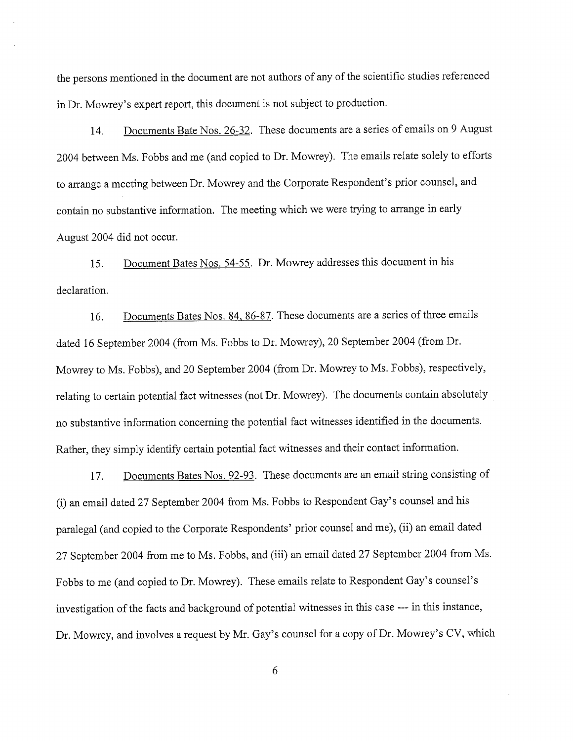the persons mentioned in the document are not authors of any of the scientific studies referenced in Dr. Mowrey's expert report, this document is not subject to production.

14. Documents Bate Nos. 26-32. These documents are a series of emails on 9 August 2004 between Ms. Fobbs and me (and copied to Dr. Mowrey). The emails relate solely to efforts to arrange a meeting between Dr. Mowrey and the Corporate Respondent's prior counsel , and contain no substantive information. The meeting which we were trying to arrange in early August 2004 did not occur.

15. Document Bates Nos. 54-55. Dr. Mowrey addresses this document in his declaration.

16. Documents Bates Nos. 84, 86-87. These documents are a series of three emails dated 16 September 2004 (from Ms. Fobbs to Dr. Mowrey), 20 September 2004 (from Dr. Mowrey to Ms. Fobbs), and 20 September 2004 (from Dr. Mowrey to Ms. Fobbs), respectively, relating to certain potential fact witnesses (not Dr. Mowrey). The documents contain absolutely no substantive information concerning the potential fact witnesses identified in the documents. Rather, they simply identify certain potential fact witnesses and their contact information.

17. Documents Bates Nos. 92-93. These documents are an email string consisting of (i) an email dated 27 September 2004 from Ms. Fobbs to Respondent Gay s counsel and his paralegal (and copied to the Corporate Respondents' prior counsel and me), (ii) an email dated 27 September 2004 from me to Ms. Fobbs, and (iii) an email dated 27 September 2004 from Ms. Fobbs to me (and copied to Dr. Mowrey). These emails relate to Respondent Gay's counsel's investigation of the facts and background of potential witnesses in this case --- in this instance Dr. Mowrey, and involves a request by Mr. Gay's counsel for a copy of Dr. Mowrey's CV, which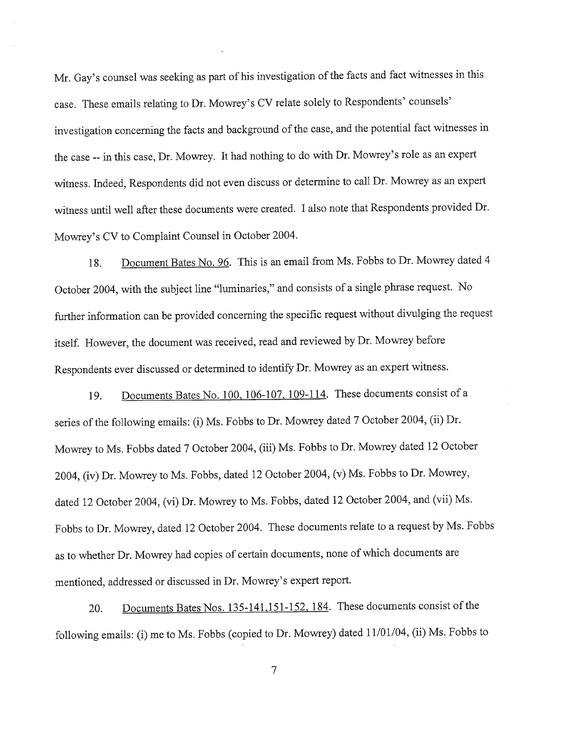Mr. Gay's counsel was seeking as part of his investigation of the facts and fact witnesses in this case. These emails relating to Dr. Mowrey's CV relate solely to Respondents' counsels' investigation concerning the facts and background of the case, and the potential fact witnesses in the case -- in this case, Dr. Mowrey. It had nothing to do with Dr. Mowrey's role as an expert witness. Indeed, Respondents did not even discuss or determine to call Dr. Mowrey as an expert witness until well after these documents were created. I also note that Respondents provided Dr. Mowrey's CV to Complaint Counsel in October 2004.

18. Document Bates No. 96. This is an email from Ms. Fobbs to Dr. Mowrey dated 4 October 2004, with the subject line "luminaries," and consists of a single phrase request. No further information can be provided concerning the specific request without divulging the request itself. However, the document was received, read and reviewed by Dr. Mowrey before Respondents ever discussed or determined to identify Dr. Mowrey as an expert witness.

19. Documents Bates No. 100, 106-107, 109-114. These documents consist of a series of the following emails: (i) Ms. Fobbs to Dr. Mowrey dated 7 October 2004, (ii) Dr. Mowrey to Ms. Fobbs dated 7 October 2004, (iii) Ms. Fobbs to Dr. Mowrey dated 12 October 2004, (iv) Dr. Mowrey to Ms. Fobbs, dated 12 October 2004, (v) Ms. Fobbs to Dr. Mowrey, dated 12 October 2004, (vi) Dr. Mowrey to Ms. Fobbs, dated 12 October 2004, and (vii) Ms. Fobbs to Dr. Mowrey, dated 12 October 2004. These documents relate to a request by Ms. Fobbs as to whether Dr. Mowrey had copies of certain documents, none of which documents are mentioned, addressed or discussed in Dr. Mowrey's expert report.

20. Documents Bates Nos. 135-141, 151-152, 184. These documents consist of the following emails: (i) me to Ms. Fobbs (copied to Dr. Mowrey) dated 11/01/04, (ii) Ms. Fobbs to

 $\overline{7}$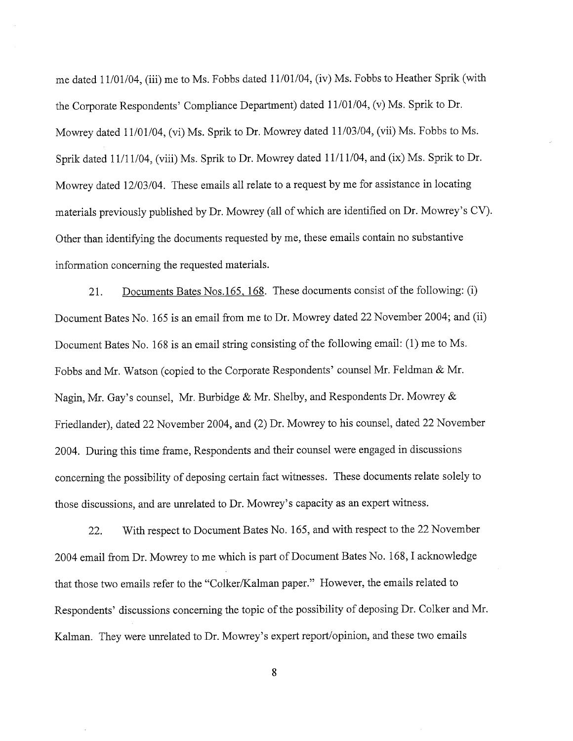me dated 11/01/04, (iii) me to Ms. Fobbs dated 11/01/04, (iv) Ms. Fobbs to Heather Sprik (with the Corporate Respondents' Compliance Department) dated 11/01/04 , (v) Ms. Sprik to Dr. Mowrey dated 11/01/04, (vi) Ms. Sprik to Dr. Mowrey dated 11/03/04, (vii) Ms. Fobbs to Ms. Sprik dated 11/11/04, (viii) Ms. Sprik to Dr. Mowrey dated 11/11/04, and (ix) Ms. Sprik to Dr. Mowrey dated 12/03/04. These emails all relate to a request by me for assistance in locating materials previously published by Dr. Mowrey (all of which are identified on Dr. Mowrey's CV). Other than identifying the documents requested by me, these emails contain no substantive information concerning the requested materials.

21. Documents Bates Nos. 165, 168. These documents consist of the following: (i) Document Bates No. 165 is an email from me to Dr. Mowrey dated 22 November 2004; and (ii) Document Bates No. 168 is an email string consisting of the following email: (1) me to Ms. Fobbs and Mr. Watson (copied to the Corporate Respondents' counsel Mr. Feldman & Mr. Nagin, Mr. Gay's counsel, Mr. Burbidge & Mr. Shelby, and Respondents Dr. Mowrey & Friedlander), dated 22 November 2004, and (2) Dr. Mowrey to his counsel, dated 22 November 2004. During this time frame, Respondents and their counsel were engaged in discussions concerning the possibility of deposing certain fact witnesses. These documents relate solely to those discussions, and are unelated to Dr. Mowrey s capacity as an expert witness.

22. With respect to Document Bates No. 165, and with respect to the 22 November 2004 email from Dr. Mowrey to me which is part of Document Bates No. 168, I acknowledge that those two emails refer to the "Colker/Kalman paper." However, the emails related to Respondents' discussions concerning the topic of the possibility of deposing Dr. Colker and Mr. Kalman. They were unrelated to Dr. Mowrey's expert report/opinion, and these two emails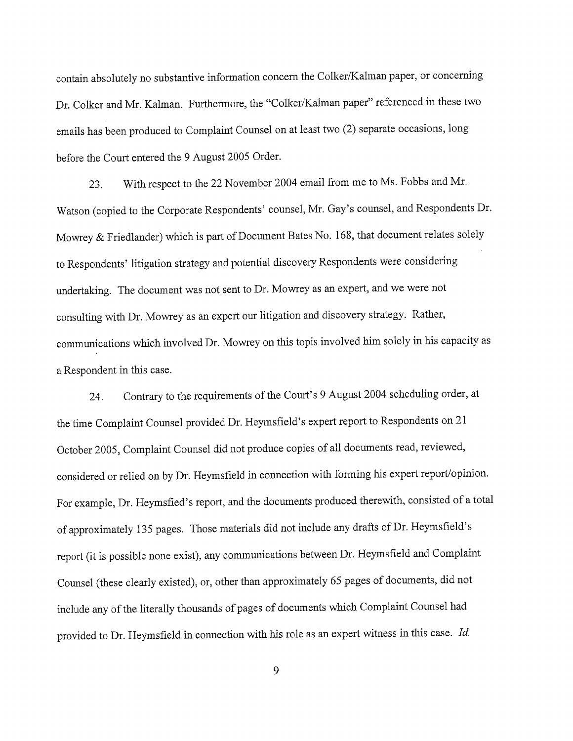contain absolutely no substantive information concern the Colker/Kalman paper, or concerning Dr. Colker and Mr. Kalman. Furthermore, the "Colker/Kalman paper" referenced in these two em ails has been produced to Complaint Counsel on at least two (2) separate occasions, long before the Court entered the 9 August 2005 Order.

23. With respect to the 22 November 2004 email from me to Ms. Fobbs and Mr. Watson (copied to the Corporate Respondents' counsel, Mr. Gay's counsel, and Respondents Dr. Mowrey & Friedlander) which is part of Document Bates No. 168, that document relates solely to Respondents' litigation strategy and potential discovery Respondents were considering undertaking. The document was not sent to Dr. Mowrey as an expert, and we were not consulting with Dr. Mowrey as an expert our litigation and discovery strategy. Rather communications which involved Dr. Mowrey on this topis involved him solely in his capacity as a Respondent in this case.

24. Contrary to the requirements of the Court's 9 August 2004 scheduling order, at the time Complaint Counsel provided Dr. Heymsfield's expert report to Respondents on 21 October 2005, Complaint Counsel did not produce copies of all documents read, reviewed considered or relied on by Dr. Heymsfield in connection with forming his expert report/opinion. For example, Dr. Heymsfied's report, and the documents produced therewith, consisted of a total of approximately 135 pages. Those materials did not include any drafts of Dr. Heymsfield's report (it is possible none exist), any communications between Dr. Heymsfield and Complaint Counsel (these clearly existed), or, other than approximately 65 pages of documents, did not include any of the literally thousands of pages of documents which Complaint Counsel had provided to Dr. Heymsfield in connection with his role as an expert witness in this case. Id.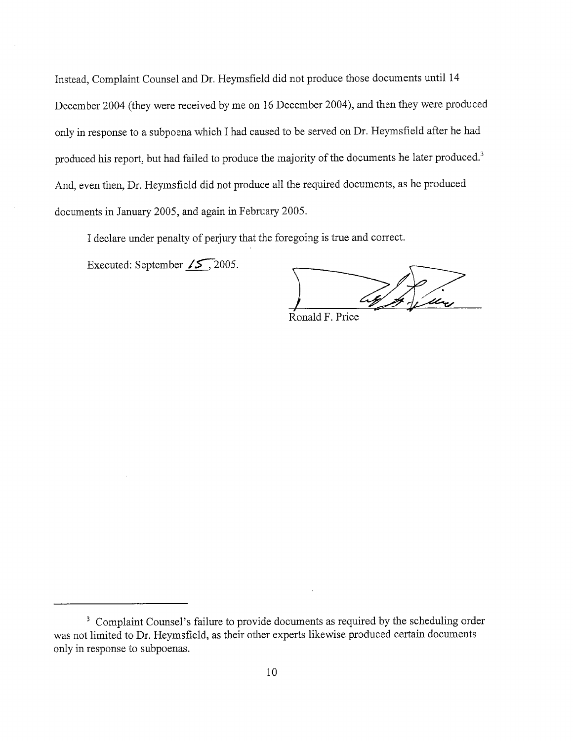Instead, Complaint Counsel and Dr. Heymsfield did not produce those documents until 14 December 2004 (they were received by me on l6 December 2004), and then they were produced only in response to a subpoena which I had caused to be served on Dr. Heymsfield after he had produced his report, but had failed to produce the majority of the documents he later produced. And, even then, Dr. Heymsfield did not produce all the required documents, as he produced documents in January 2005, and again in February 2005.

I declare under penalty of perjury that the foregoing is true and correct.

Executed: September  $\sqrt{5}$ , 2005.

by filing

Ronald F. Price

<sup>&</sup>lt;sup>3</sup> Complaint Counsel's failure to provide documents as required by the scheduling order was not limited to Dr. Heymsfield, as their other experts likewise produced certain documents only in response to subpoenas.